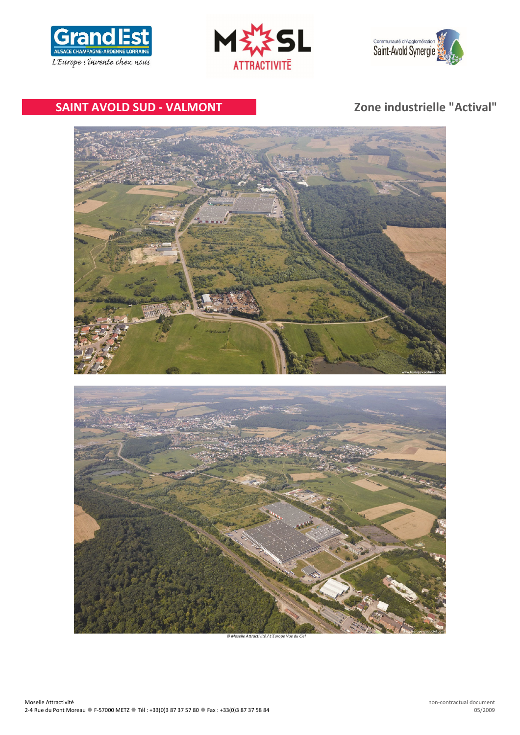





# **SAINT AVOLD SUD ‐ VALMONT Zone industrielle "Actival"**



*© Moselle Attractivité / L'Europe Vue du Ciel*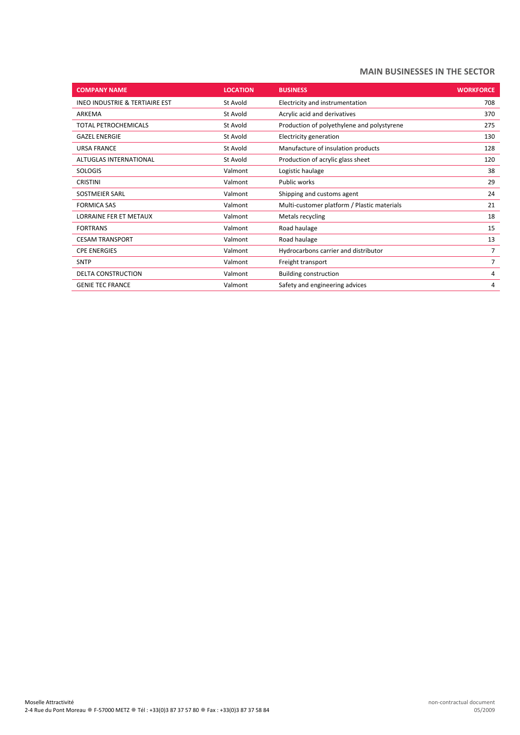# **MAIN BUSINESSES IN THE SECTOR**

| <b>COMPANY NAME</b>            | <b>LOCATION</b> | <b>BUSINESS</b>                             | <b>WORKFORCE</b> |
|--------------------------------|-----------------|---------------------------------------------|------------------|
| INEO INDUSTRIE & TERTIAIRE EST | St Avold        | Electricity and instrumentation             | 708              |
| ARKEMA                         | St Avold        | Acrylic acid and derivatives                | 370              |
| TOTAL PETROCHEMICALS           | St Avold        | Production of polyethylene and polystyrene  | 275              |
| <b>GAZEL ENERGIE</b>           | St Avold        | Electricity generation                      | 130              |
| <b>URSA FRANCE</b>             | St Avold        | Manufacture of insulation products          | 128              |
| <b>ALTUGLAS INTERNATIONAL</b>  | St Avold        | Production of acrylic glass sheet           | 120              |
| <b>SOLOGIS</b>                 | Valmont         | Logistic haulage                            | 38               |
| <b>CRISTINI</b>                | Valmont         | Public works                                | 29               |
| SOSTMEIER SARL                 | Valmont         | Shipping and customs agent                  | 24               |
| <b>FORMICA SAS</b>             | Valmont         | Multi-customer platform / Plastic materials | 21               |
| LORRAINE FER ET METAUX         | Valmont         | Metals recycling                            | 18               |
| <b>FORTRANS</b>                | Valmont         | Road haulage                                | 15               |
| <b>CESAM TRANSPORT</b>         | Valmont         | Road haulage                                | 13               |
| <b>CPE ENERGIES</b>            | Valmont         | Hydrocarbons carrier and distributor        | 7                |
| <b>SNTP</b>                    | Valmont         | Freight transport                           | 7                |
| <b>DELTA CONSTRUCTION</b>      | Valmont         | <b>Building construction</b>                | 4                |
| <b>GENIE TEC FRANCE</b>        | Valmont         | Safety and engineering advices              | 4                |